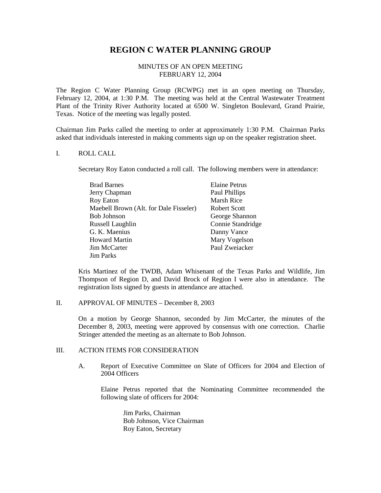# **REGION C WATER PLANNING GROUP**

## MINUTES OF AN OPEN MEETING FEBRUARY 12, 2004

The Region C Water Planning Group (RCWPG) met in an open meeting on Thursday, February 12, 2004, at 1:30 P.M. The meeting was held at the Central Wastewater Treatment Plant of the Trinity River Authority located at 6500 W. Singleton Boulevard, Grand Prairie, Texas. Notice of the meeting was legally posted.

Chairman Jim Parks called the meeting to order at approximately 1:30 P.M. Chairman Parks asked that individuals interested in making comments sign up on the speaker registration sheet.

#### I. ROLL CALL

Secretary Roy Eaton conducted a roll call. The following members were in attendance:

| <b>Brad Barnes</b>                     | <b>Elaine Petrus</b> |
|----------------------------------------|----------------------|
| Jerry Chapman                          | Paul Phillips        |
| Roy Eaton                              | Marsh Rice           |
| Maebell Brown (Alt. for Dale Fisseler) | Robert Scott         |
| Bob Johnson                            | George Shannon       |
| Russell Laughlin                       | Connie Standridge    |
| G. K. Maenius                          | Danny Vance          |
| Howard Martin                          | Mary Vogelson        |
| Jim McCarter                           | Paul Zweiacker       |
| Jim Parks                              |                      |

Kris Martinez of the TWDB, Adam Whisenant of the Texas Parks and Wildlife, Jim Thompson of Region D, and David Brock of Region I were also in attendance. The registration lists signed by guests in attendance are attached.

## II. APPROVAL OF MINUTES – December 8, 2003

On a motion by George Shannon, seconded by Jim McCarter, the minutes of the December 8, 2003, meeting were approved by consensus with one correction. Charlie Stringer attended the meeting as an alternate to Bob Johnson.

## III. ACTION ITEMS FOR CONSIDERATION

A. Report of Executive Committee on Slate of Officers for 2004 and Election of 2004 Officers

Elaine Petrus reported that the Nominating Committee recommended the following slate of officers for 2004:

> Jim Parks, Chairman Bob Johnson, Vice Chairman Roy Eaton, Secretary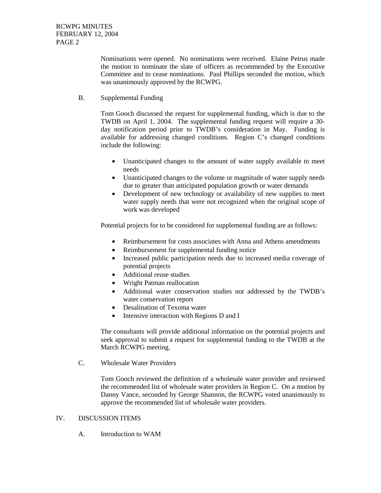Nominations were opened. No nominations were received. Elaine Petrus made the motion to nominate the slate of officers as recommended by the Executive Committee and to cease nominations. Paul Phillips seconded the motion, which was unanimously approved by the RCWPG.

B. Supplemental Funding

Tom Gooch discussed the request for supplemental funding, which is due to the TWDB on April 1, 2004. The supplemental funding request will require a 30 day notification period prior to TWDB's consideration in May. Funding is available for addressing changed conditions. Region C's changed conditions include the following:

- Unanticipated changes to the amount of water supply available to meet needs
- Unanticipated changes to the volume or magnitude of water supply needs due to greater than anticipated population growth or water demands
- Development of new technology or availability of new supplies to meet water supply needs that were not recognized when the original scope of work was developed

Potential projects for to be considered for supplemental funding are as follows:

- Reimbursement for costs associates with Anna and Athens amendments
- Reimbursement for supplemental funding notice
- Increased public participation needs due to increased media coverage of potential projects
- Additional reuse studies
- Wright Patman reallocation
- Additional water conservation studies not addressed by the TWDB's water conservation report
- Desalination of Texoma water
- Intensive interaction with Regions D and I

The consultants will provide additional information on the potential projects and seek approval to submit a request for supplemental funding to the TWDB at the March RCWPG meeting.

C. Wholesale Water Providers

Tom Gooch reviewed the definition of a wholesale water provider and reviewed the recommended list of wholesale water providers in Region C. On a motion by Danny Vance, seconded by George Shannon, the RCWPG voted unanimously to approve the recommended list of wholesale water providers.

## IV. DISCUSSION ITEMS

A. Introduction to WAM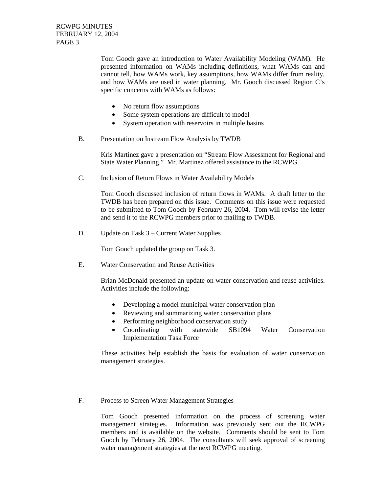Tom Gooch gave an introduction to Water Availability Modeling (WAM). He presented information on WAMs including definitions, what WAMs can and cannot tell, how WAMs work, key assumptions, how WAMs differ from reality, and how WAMs are used in water planning. Mr. Gooch discussed Region C's specific concerns with WAMs as follows:

- No return flow assumptions
- Some system operations are difficult to model
- System operation with reservoirs in multiple basins
- B. Presentation on Instream Flow Analysis by TWDB

Kris Martinez gave a presentation on "Stream Flow Assessment for Regional and State Water Planning." Mr. Martinez offered assistance to the RCWPG.

C. Inclusion of Return Flows in Water Availability Models

Tom Gooch discussed inclusion of return flows in WAMs. A draft letter to the TWDB has been prepared on this issue. Comments on this issue were requested to be submitted to Tom Gooch by February 26, 2004. Tom will revise the letter and send it to the RCWPG members prior to mailing to TWDB.

D. Update on Task 3 – Current Water Supplies

Tom Gooch updated the group on Task 3.

E. Water Conservation and Reuse Activities

Brian McDonald presented an update on water conservation and reuse activities. Activities include the following:

- Developing a model municipal water conservation plan
- Reviewing and summarizing water conservation plans
- Performing neighborhood conservation study
- Coordinating with statewide SB1094 Water Conservation Implementation Task Force

These activities help establish the basis for evaluation of water conservation management strategies.

F. Process to Screen Water Management Strategies

Tom Gooch presented information on the process of screening water management strategies. Information was previously sent out the RCWPG members and is available on the website. Comments should be sent to Tom Gooch by February 26, 2004. The consultants will seek approval of screening water management strategies at the next RCWPG meeting.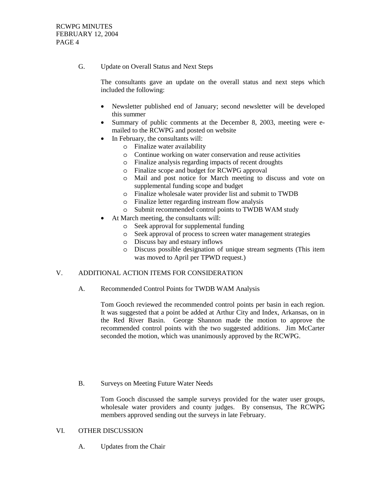G. Update on Overall Status and Next Steps

The consultants gave an update on the overall status and next steps which included the following:

- Newsletter published end of January; second newsletter will be developed this summer
- Summary of public comments at the December 8, 2003, meeting were emailed to the RCWPG and posted on website
- In February, the consultants will:
	- o Finalize water availability
	- o Continue working on water conservation and reuse activities
	- o Finalize analysis regarding impacts of recent droughts
	- o Finalize scope and budget for RCWPG approval
	- o Mail and post notice for March meeting to discuss and vote on supplemental funding scope and budget
	- o Finalize wholesale water provider list and submit to TWDB
	- o Finalize letter regarding instream flow analysis
	- o Submit recommended control points to TWDB WAM study
- At March meeting, the consultants will:
	- o Seek approval for supplemental funding
	- o Seek approval of process to screen water management strategies
	- o Discuss bay and estuary inflows
	- o Discuss possible designation of unique stream segments (This item was moved to April per TPWD request.)

#### V. ADDITIONAL ACTION ITEMS FOR CONSIDERATION

A. Recommended Control Points for TWDB WAM Analysis

Tom Gooch reviewed the recommended control points per basin in each region. It was suggested that a point be added at Arthur City and Index, Arkansas, on in the Red River Basin. George Shannon made the motion to approve the recommended control points with the two suggested additions. Jim McCarter seconded the motion, which was unanimously approved by the RCWPG.

B. Surveys on Meeting Future Water Needs

Tom Gooch discussed the sample surveys provided for the water user groups, wholesale water providers and county judges. By consensus, The RCWPG members approved sending out the surveys in late February.

#### VI. OTHER DISCUSSION

A. Updates from the Chair